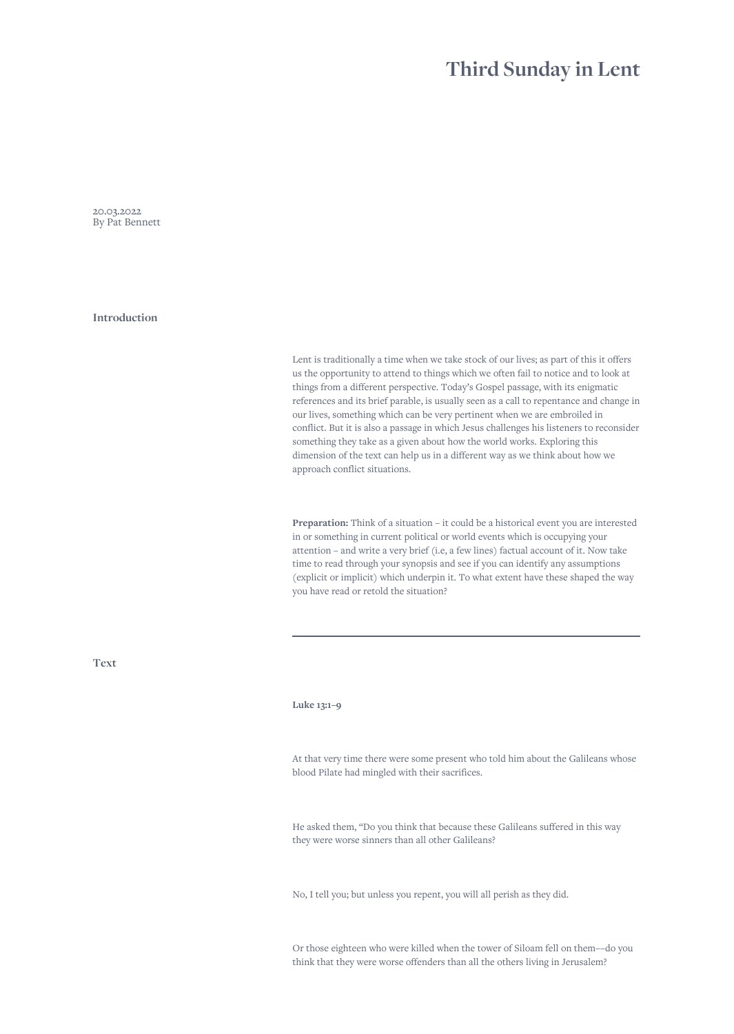## **Third Sunday in Lent**

20.03.2022 By Pat Bennett

**Introduction**

Lent is traditionally a time when we take stock of our lives; as part of this it offers us the opportunity to attend to things which we often fail to notice and to look at things from a different perspective. Today's Gospel passage, with its enigmatic references and its brief parable, is usually seen as a call to repentance and change in our lives, something which can be very pertinent when we are embroiled in conflict. But it is also a passage in which Jesus challenges his listeners to reconsider something they take as a given about how the world works. Exploring this dimension of the text can help us in a different way as we think about how we approach conflict situations.

**Preparation:** Think of a situation – it could be a historical event you are interested in or something in current political or world events which is occupying your attention – and write a very brief (i.e, a few lines) factual account of it. Now take time to read through your synopsis and see if you can identify any assumptions (explicit or implicit) which underpin it. To what extent have these shaped the way you have read or retold the situation?

**Text**

## **Luke 13:1–9**

At that very time there were some present who told him about the Galileans whose blood Pilate had mingled with their sacrifices.

He asked them, "Do you think that because these Galileans suffered in this way they were worse sinners than all other Galileans?

No, I tell you; but unless you repent, you will all perish as they did.

Or those eighteen who were killed when the tower of Siloam fell on them––do you think that they were worse offenders than all the others living in Jerusalem?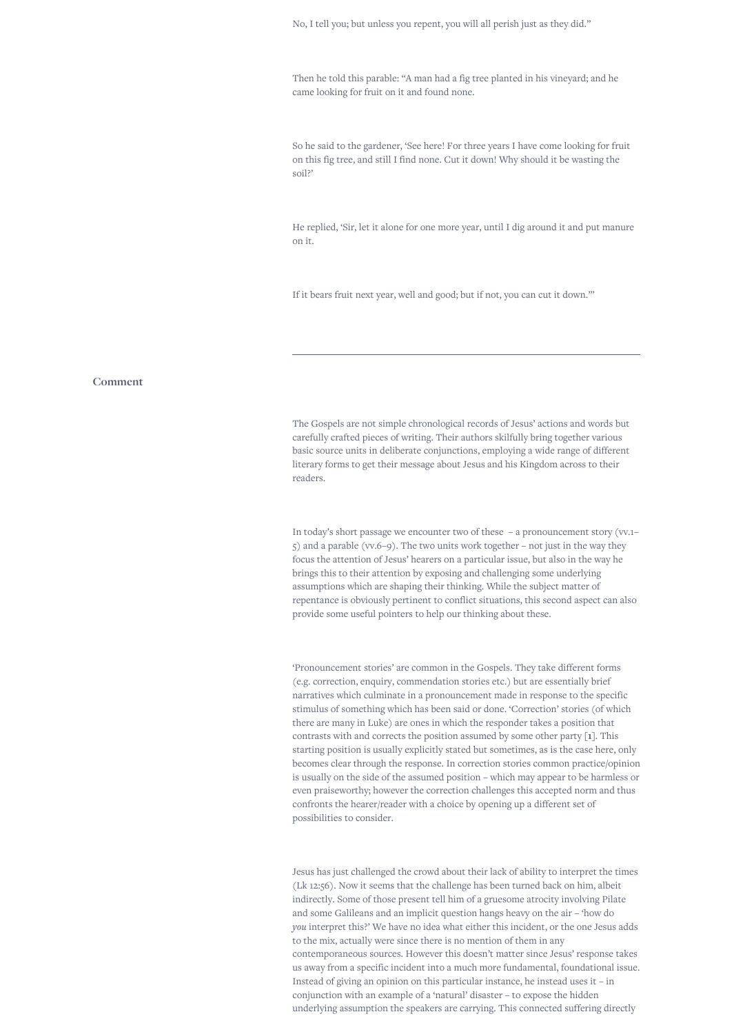No, I tell you; but unless you repent, you will all perish just as they did."

Then he told this parable: "A man had a fig tree planted in his vineyard; and he came looking for fruit on it and found none.

So he said to the gardener, 'See here! For three years I have come looking for fruit on this fig tree, and still I find none. Cut it down! Why should it be wasting the soil?'

He replied, 'Sir, let it alone for one more year, until I dig around it and put manure on it.

If it bears fruit next year, well and good; but if not, you can cut it down.'"

## **Comment**

The Gospels are not simple chronological records of Jesus' actions and words but carefully crafted pieces of writing. Their authors skilfully bring together various basic source units in deliberate conjunctions, employing a wide range of different literary forms to get their message about Jesus and his Kingdom across to their readers.

In today's short passage we encounter two of these – a pronouncement story (vv.1– 5) and a parable (vv.6–9). The two units work together – not just in the way they focus the attention of Jesus' hearers on a particular issue, but also in the way he brings this to their attention by exposing and challenging some underlying assumptions which are shaping their thinking. While the subject matter of repentance is obviously pertinent to conflict situations, this second aspect can also provide some useful pointers to help our thinking about these.

'Pronouncement stories' are common in the Gospels. They take different forms (e.g. correction, enquiry, commendation stories etc.) but are essentially brief narratives which culminate in a pronouncement made in response to the specific stimulus of something which has been said or done. 'Correction' stories (of which there are many in Luke) are ones in which the responder takes a position that contrasts with and corrects the position assumed by some other party **[1]**. This starting position is usually explicitly stated but sometimes, as is the case here, only becomes clear through the response. In correction stories common practice/opinion is usually on the side of the assumed position – which may appear to be harmless or even praiseworthy; however the correction challenges this accepted norm and thus confronts the hearer/reader with a choice by opening up a different set of possibilities to consider.

Jesus has just challenged the crowd about their lack of ability to interpret the times (Lk 12:56). Now it seems that the challenge has been turned back on him, albeit indirectly. Some of those present tell him of a gruesome atrocity involving Pilate and some Galileans and an implicit question hangs heavy on the air – 'how do *you* interpret this?' We have no idea what either this incident, or the one Jesus adds to the mix, actually were since there is no mention of them in any contemporaneous sources. However this doesn't matter since Jesus' response takes us away from a specific incident into a much more fundamental, foundational issue. Instead of giving an opinion on this particular instance, he instead uses it – in conjunction with an example of a 'natural' disaster – to expose the hidden underlying assumption the speakers are carrying. This connected suffering directly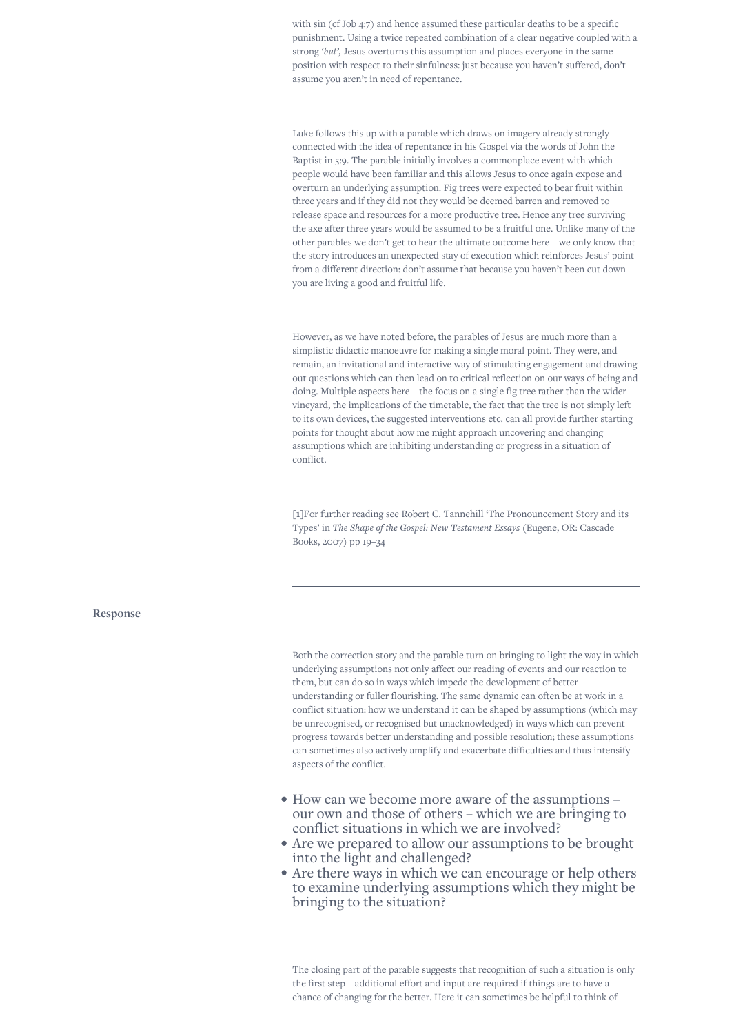with sin (cf Job 4:7) and hence assumed these particular deaths to be a specific punishment. Using a twice repeated combination of a clear negative coupled with a strong *'but',* Jesus overturns this assumption and places everyone in the same position with respect to their sinfulness: just because you haven't suffered, don't assume you aren't in need of repentance.

Luke follows this up with a parable which draws on imagery already strongly connected with the idea of repentance in his Gospel via the words of John the Baptist in 5:9. The parable initially involves a commonplace event with which people would have been familiar and this allows Jesus to once again expose and overturn an underlying assumption. Fig trees were expected to bear fruit within three years and if they did not they would be deemed barren and removed to release space and resources for a more productive tree. Hence any tree surviving the axe after three years would be assumed to be a fruitful one. Unlike many of the other parables we don't get to hear the ultimate outcome here – we only know that the story introduces an unexpected stay of execution which reinforces Jesus' point from a different direction: don't assume that because you haven't been cut down you are living a good and fruitful life.

However, as we have noted before, the parables of Jesus are much more than a simplistic didactic manoeuvre for making a single moral point. They were, and remain, an invitational and interactive way of stimulating engagement and drawing out questions which can then lead on to critical reflection on our ways of being and doing. Multiple aspects here – the focus on a single fig tree rather than the wider vineyard, the implications of the timetable, the fact that the tree is not simply left to its own devices, the suggested interventions etc. can all provide further starting points for thought about how me might approach uncovering and changing assumptions which are inhibiting understanding or progress in a situation of conflict.

**[1]**For further reading see Robert C. Tannehill 'The Pronouncement Story and its Types' in *The Shape of the Gospel: New Testament Essays* (Eugene, OR: Cascade Books, 2007) pp 19–34

**Response**

Both the correction story and the parable turn on bringing to light the way in which underlying assumptions not only affect our reading of events and our reaction to them, but can do so in ways which impede the development of better understanding or fuller flourishing. The same dynamic can often be at work in a conflict situation: how we understand it can be shaped by assumptions (which may be unrecognised, or recognised but unacknowledged) in ways which can prevent progress towards better understanding and possible resolution; these assumptions can sometimes also actively amplify and exacerbate difficulties and thus intensify aspects of the conflict.

- How can we become more aware of the assumptions our own and those of others – which we are bringing to conflict situations in which we are involved?
- Are we prepared to allow our assumptions to be brought into the light and challenged?
- Are there ways in which we can encourage or help others to examine underlying assumptions which they might be bringing to the situation?

The closing part of the parable suggests that recognition of such a situation is only the first step – additional effort and input are required if things are to have a chance of changing for the better. Here it can sometimes be helpful to think of